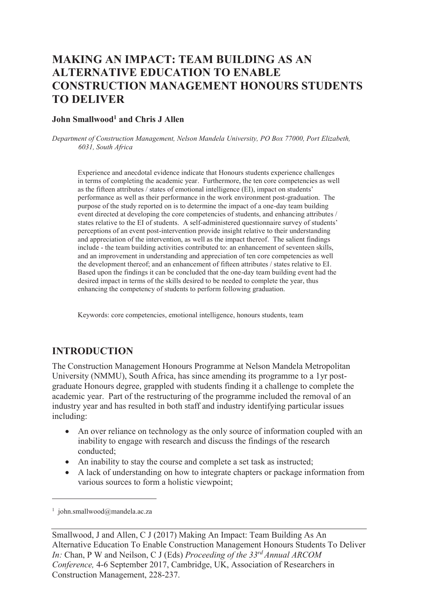# **MAKING AN IMPACT: TEAM BUILDING AS AN ALTERNATIVE EDUCATION TO ENABLE CONSTRUCTION MANAGEMENT HONOURS STUDENTS TO DELIVER**

#### **John Smallwood<sup>1</sup> and Chris J Allen**

*Department of Construction Management, Nelson Mandela University, PO Box 77000, Port Elizabeth, 6031, South Africa* 

Experience and anecdotal evidence indicate that Honours students experience challenges in terms of completing the academic year. Furthermore, the ten core competencies as well as the fifteen attributes / states of emotional intelligence (EI), impact on students' performance as well as their performance in the work environment post-graduation. The purpose of the study reported on is to determine the impact of a one-day team building event directed at developing the core competencies of students, and enhancing attributes / states relative to the EI of students. A self-administered questionnaire survey of students' perceptions of an event post-intervention provide insight relative to their understanding and appreciation of the intervention, as well as the impact thereof. The salient findings include - the team building activities contributed to: an enhancement of seventeen skills, and an improvement in understanding and appreciation of ten core competencies as well the development thereof; and an enhancement of fifteen attributes / states relative to EI. Based upon the findings it can be concluded that the one-day team building event had the desired impact in terms of the skills desired to be needed to complete the year, thus enhancing the competency of students to perform following graduation.

Keywords: core competencies, emotional intelligence, honours students, team

### **INTRODUCTION**

The Construction Management Honours Programme at Nelson Mandela Metropolitan University (NMMU), South Africa, has since amending its programme to a 1yr postgraduate Honours degree, grappled with students finding it a challenge to complete the academic year. Part of the restructuring of the programme included the removal of an industry year and has resulted in both staff and industry identifying particular issues including:

- An over reliance on technology as the only source of information coupled with an inability to engage with research and discuss the findings of the research conducted;
- An inability to stay the course and complete a set task as instructed;
- · A lack of understanding on how to integrate chapters or package information from various sources to form a holistic viewpoint;

 $\overline{a}$ 

<sup>1</sup> john.smallwood@mandela.ac.za

Smallwood, J and Allen, C J (2017) Making An Impact: Team Building As An Alternative Education To Enable Construction Management Honours Students To Deliver *In:* Chan, P W and Neilson, C J (Eds) *Proceeding of the 33rd Annual ARCOM Conference,* 4-6 September 2017, Cambridge, UK, Association of Researchers in Construction Management, 228-237.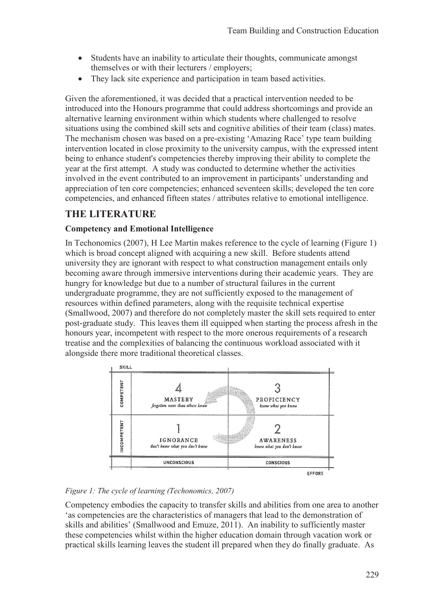- Students have an inability to articulate their thoughts, communicate amongst themselves or with their lecturers / employers;
- They lack site experience and participation in team based activities.

Given the aforementioned, it was decided that a practical intervention needed to be introduced into the Honours programme that could address shortcomings and provide an alternative learning environment within which students where challenged to resolve situations using the combined skill sets and cognitive abilities of their team (class) mates. The mechanism chosen was based on a pre-existing 'Amazing Race' type team building intervention located in close proximity to the university campus, with the expressed intent being to enhance student's competencies thereby improving their ability to complete the year at the first attempt. A study was conducted to determine whether the activities involved in the event contributed to an improvement in participants' understanding and appreciation of ten core competencies; enhanced seventeen skills; developed the ten core competencies, and enhanced fifteen states / attributes relative to emotional intelligence.

# **THE LITERATURE**

#### **Competency and Emotional Intelligence**

In Techonomics (2007), H Lee Martin makes reference to the cycle of learning (Figure 1) which is broad concept aligned with acquiring a new skill. Before students attend university they are ignorant with respect to what construction management entails only becoming aware through immersive interventions during their academic years. They are hungry for knowledge but due to a number of structural failures in the current undergraduate programme, they are not sufficiently exposed to the management of resources within defined parameters, along with the requisite technical expertise (Smallwood, 2007) and therefore do not completely master the skill sets required to enter post-graduate study. This leaves them ill equipped when starting the process afresh in the honours year, incompetent with respect to the more onerous requirements of a research treatise and the complexities of balancing the continuous workload associated with it alongside there more traditional theoretical classes.



#### *Figure 1: The cycle of learning (Techonomics, 2007)*

Competency embodies the capacity to transfer skills and abilities from one area to another 'as competencies are the characteristics of managers that lead to the demonstration of skills and abilities' (Smallwood and Emuze, 2011). An inability to sufficiently master these competencies whilst within the higher education domain through vacation work or practical skills learning leaves the student ill prepared when they do finally graduate. As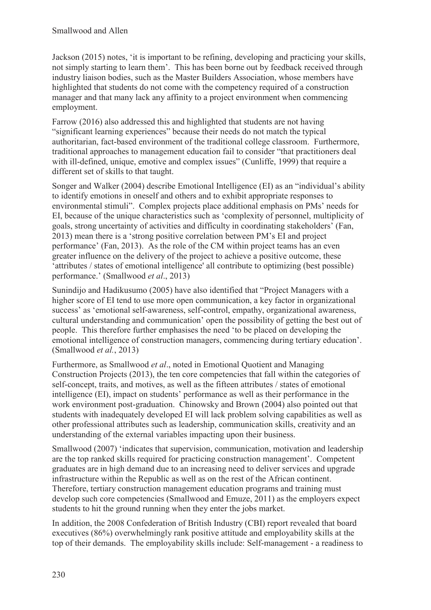Jackson (2015) notes, 'it is important to be refining, developing and practicing your skills, not simply starting to learn them'. This has been borne out by feedback received through industry liaison bodies, such as the Master Builders Association, whose members have highlighted that students do not come with the competency required of a construction manager and that many lack any affinity to a project environment when commencing employment.

Farrow (2016) also addressed this and highlighted that students are not having "significant learning experiences" because their needs do not match the typical authoritarian, fact-based environment of the traditional college classroom. Furthermore, traditional approaches to management education fail to consider "that practitioners deal with ill-defined, unique, emotive and complex issues" (Cunliffe, 1999) that require a different set of skills to that taught.

Songer and Walker (2004) describe Emotional Intelligence (EI) as an "individual's ability to identify emotions in oneself and others and to exhibit appropriate responses to environmental stimuli". Complex projects place additional emphasis on PMs' needs for EI, because of the unique characteristics such as 'complexity of personnel, multiplicity of goals, strong uncertainty of activities and difficulty in coordinating stakeholders' (Fan, 2013) mean there is a 'strong positive correlation between PM's EI and project performance' (Fan, 2013). As the role of the CM within project teams has an even greater influence on the delivery of the project to achieve a positive outcome, these 'attributes / states of emotional intelligence' all contribute to optimizing (best possible) performance.' (Smallwood *et al*., 2013)

Sunindijo and Hadikusumo (2005) have also identified that "Project Managers with a higher score of EI tend to use more open communication, a key factor in organizational success' as 'emotional self-awareness, self-control, empathy, organizational awareness, cultural understanding and communication' open the possibility of getting the best out of people. This therefore further emphasises the need 'to be placed on developing the emotional intelligence of construction managers, commencing during tertiary education'. (Smallwood *et al.*, 2013)

Furthermore, as Smallwood *et al*., noted in Emotional Quotient and Managing Construction Projects (2013), the ten core competencies that fall within the categories of self-concept, traits, and motives, as well as the fifteen attributes / states of emotional intelligence (EI), impact on students' performance as well as their performance in the work environment post-graduation. Chinowsky and Brown (2004) also pointed out that students with inadequately developed EI will lack problem solving capabilities as well as other professional attributes such as leadership, communication skills, creativity and an understanding of the external variables impacting upon their business.

Smallwood (2007) 'indicates that supervision, communication, motivation and leadership are the top ranked skills required for practicing construction management'. Competent graduates are in high demand due to an increasing need to deliver services and upgrade infrastructure within the Republic as well as on the rest of the African continent. Therefore, tertiary construction management education programs and training must develop such core competencies (Smallwood and Emuze, 2011) as the employers expect students to hit the ground running when they enter the jobs market.

In addition, the 2008 Confederation of British Industry (CBI) report revealed that board executives (86%) overwhelmingly rank positive attitude and employability skills at the top of their demands. The employability skills include: Self-management - a readiness to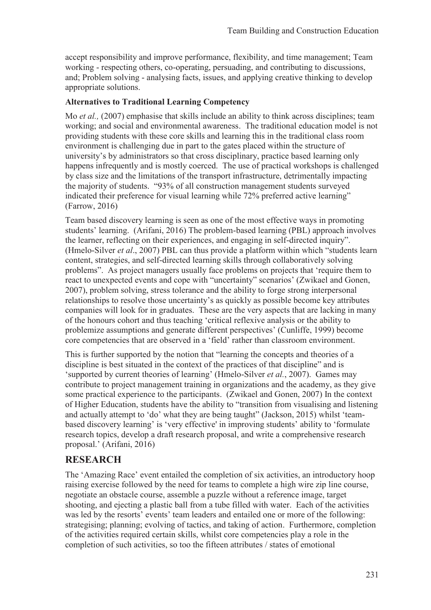accept responsibility and improve performance, flexibility, and time management; Team working - respecting others, co-operating, persuading, and contributing to discussions, and; Problem solving - analysing facts, issues, and applying creative thinking to develop appropriate solutions.

#### **Alternatives to Traditional Learning Competency**

Mo *et al.*, (2007) emphasise that skills include an ability to think across disciplines; team working; and social and environmental awareness. The traditional education model is not providing students with these core skills and learning this in the traditional class room environment is challenging due in part to the gates placed within the structure of university's by administrators so that cross disciplinary, practice based learning only happens infrequently and is mostly coerced. The use of practical workshops is challenged by class size and the limitations of the transport infrastructure, detrimentally impacting the majority of students. "93% of all construction management students surveyed indicated their preference for visual learning while 72% preferred active learning" (Farrow, 2016)

Team based discovery learning is seen as one of the most effective ways in promoting students' learning. (Arifani, 2016) The problem-based learning (PBL) approach involves the learner, reflecting on their experiences, and engaging in self-directed inquiry". (Hmelo-Silver *et al*., 2007) PBL can thus provide a platform within which "students learn content, strategies, and self-directed learning skills through collaboratively solving problems". As project managers usually face problems on projects that 'require them to react to unexpected events and cope with "uncertainty" scenarios' (Zwikael and Gonen, 2007), problem solving, stress tolerance and the ability to forge strong interpersonal relationships to resolve those uncertainty's as quickly as possible become key attributes companies will look for in graduates. These are the very aspects that are lacking in many of the honours cohort and thus teaching 'critical reflexive analysis or the ability to problemize assumptions and generate different perspectives' (Cunliffe, 1999) become core competencies that are observed in a 'field' rather than classroom environment.

This is further supported by the notion that "learning the concepts and theories of a discipline is best situated in the context of the practices of that discipline" and is 'supported by current theories of learning' (Hmelo-Silver *et al.*, 2007). Games may contribute to project management training in organizations and the academy, as they give some practical experience to the participants. (Zwikael and Gonen, 2007) In the context of Higher Education, students have the ability to "transition from visualising and listening and actually attempt to 'do' what they are being taught" (Jackson, 2015) whilst 'teambased discovery learning' is 'very effective' in improving students' ability to 'formulate research topics, develop a draft research proposal, and write a comprehensive research proposal.' (Arifani, 2016)

### **RESEARCH**

The 'Amazing Race' event entailed the completion of six activities, an introductory hoop raising exercise followed by the need for teams to complete a high wire zip line course, negotiate an obstacle course, assemble a puzzle without a reference image, target shooting, and ejecting a plastic ball from a tube filled with water. Each of the activities was led by the resorts' events' team leaders and entailed one or more of the following: strategising; planning; evolving of tactics, and taking of action. Furthermore, completion of the activities required certain skills, whilst core competencies play a role in the completion of such activities, so too the fifteen attributes / states of emotional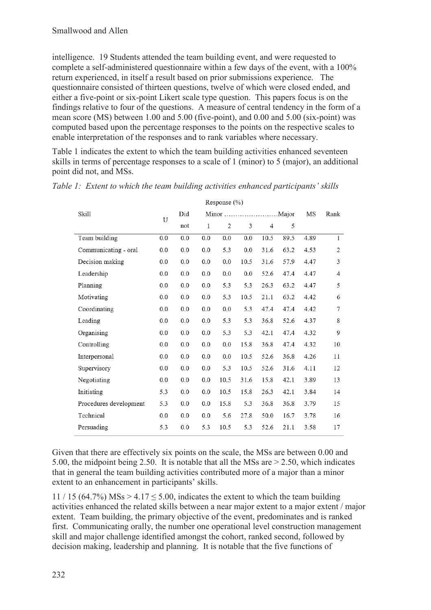intelligence. 19 Students attended the team building event, and were requested to complete a self-administered questionnaire within a few days of the event, with a 100% return experienced, in itself a result based on prior submissions experience. The questionnaire consisted of thirteen questions, twelve of which were closed ended, and either a five-point or six-point Likert scale type question. This papers focus is on the findings relative to four of the questions. A measure of central tendency in the form of a mean score (MS) between 1.00 and 5.00 (five-point), and 0.00 and 5.00 (six-point) was computed based upon the percentage responses to the points on the respective scales to enable interpretation of the responses and to rank variables where necessary.

Table 1 indicates the extent to which the team building activities enhanced seventeen skills in terms of percentage responses to a scale of 1 (minor) to 5 (major), an additional point did not, and MSs.

| Skill                  | U   | Did |     | MS             | Rank |                |      |      |                |
|------------------------|-----|-----|-----|----------------|------|----------------|------|------|----------------|
|                        |     | not | 1   | $\overline{2}$ | 3    | $\overline{4}$ | 5    |      |                |
| Team building          | 0.0 | 0.0 | 0.0 | 0.0            | 0.0  | 10.5           | 89.5 | 4.89 | $\mathbf{1}$   |
| Communicating - oral   | 0.0 | 0.0 | 0.0 | 5.3            | 0.0  | 31.6           | 63.2 | 4.53 | $\overline{2}$ |
| Decision making        | 0.0 | 0.0 | 0.0 | 0.0            | 10.5 | 31.6           | 57.9 | 4.47 | 3              |
| Leadership             | 0.0 | 0.0 | 0.0 | 0.0            | 0.0  | 52.6           | 47.4 | 4.47 | 4              |
| Planning               | 0.0 | 0.0 | 0.0 | 5.3            | 5.3  | 26.3           | 63.2 | 4.47 | 5              |
| Motivating             | 0.0 | 0.0 | 0.0 | 5.3            | 10.5 | 21.1           | 63.2 | 4.42 | 6              |
| Coordinating           | 0.0 | 0.0 | 0.0 | 0.0            | 5.3  | 47.4           | 47.4 | 4.42 | 7              |
| Leading                | 0.0 | 0.0 | 0.0 | 5.3            | 5.3  | 36.8           | 52.6 | 4.37 | 8              |
| Organising             | 0.0 | 0.0 | 0.0 | 5.3            | 5.3  | 42.1           | 47.4 | 4.32 | 9              |
| Controlling            | 0.0 | 0.0 | 0.0 | 0.0            | 15.8 | 36.8           | 47.4 | 4.32 | 10             |
| Interpersonal          | 0.0 | 0.0 | 0.0 | 0.0            | 10.5 | 52.6           | 36.8 | 4.26 | 11             |
| Supervisory            | 0.0 | 0.0 | 0.0 | 5.3            | 10.5 | 52.6           | 31.6 | 4.11 | 12             |
| Negotiating            | 0.0 | 0.0 | 0.0 | 10.5           | 31.6 | 15.8           | 42.1 | 3.89 | 13             |
| Initiating             | 5.3 | 0.0 | 0.0 | 10.5           | 15.8 | 26.3           | 42.1 | 3.84 | 14             |
| Procedures development | 5.3 | 0.0 | 0.0 | 15.8           | 5.3  | 36.8           | 36.8 | 3.79 | 15             |
| Technical              | 0.0 | 0.0 | 0.0 | 5.6            | 27.8 | 50.0           | 16.7 | 3.78 | 16             |
| Persuading             | 5.3 | 0.0 | 5.3 | 10.5           | 5.3  | 52.6           | 21.1 | 3.58 | 17             |

*Table 1: Extent to which the team building activities enhanced participants' skills*

Given that there are effectively six points on the scale, the MSs are between 0.00 and 5.00, the midpoint being 2.50. It is notable that all the MSs are > 2.50, which indicates that in general the team building activities contributed more of a major than a minor extent to an enhancement in participants' skills.

11 / 15  $(64.7\%)$  MSs > 4.17 < 5.00, indicates the extent to which the team building activities enhanced the related skills between a near major extent to a major extent / major extent. Team building, the primary objective of the event, predominates and is ranked first. Communicating orally, the number one operational level construction management skill and major challenge identified amongst the cohort, ranked second, followed by decision making, leadership and planning. It is notable that the five functions of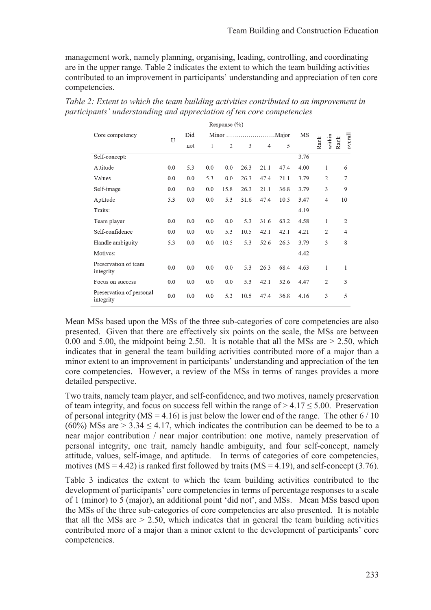management work, namely planning, organising, leading, controlling, and coordinating are in the upper range. Table 2 indicates the extent to which the team building activities contributed to an improvement in participants' understanding and appreciation of ten core competencies.

|                                       |     |     |     | Response $(\% )$ |      |                |      |      |                |                 |
|---------------------------------------|-----|-----|-----|------------------|------|----------------|------|------|----------------|-----------------|
| Core competency                       | U   | Did |     |                  |      |                |      | MS   |                |                 |
|                                       |     | not | 1   | 2                | 3    | $\overline{4}$ | 5    |      | within<br>Rank | overall<br>Rank |
| Self-concept:                         |     |     |     |                  |      |                |      | 3.76 |                |                 |
| Attitude                              | 0.0 | 5.3 | 0.0 | 0.0              | 26.3 | 21.1           | 47.4 | 4.00 | 1              | 6               |
| Values                                | 0.0 | 0.0 | 5.3 | 0.0              | 26.3 | 47.4           | 21.1 | 3.79 | 2              | 7               |
| Self-image                            | 0.0 | 0.0 | 0.0 | 15.8             | 26.3 | 21.1           | 36.8 | 3.79 | 3              | 9               |
| Aptitude                              | 5.3 | 0.0 | 0.0 | 5.3              | 31.6 | 47.4           | 10.5 | 3.47 | 4              | 10              |
| Traits:                               |     |     |     |                  |      |                |      | 4.19 |                |                 |
| Team player                           | 0.0 | 0.0 | 0.0 | 0.0              | 5.3  | 31.6           | 63.2 | 4.58 | 1              | 2               |
| Self-confidence                       | 0.0 | 0.0 | 0.0 | 5.3              | 10.5 | 42.1           | 42.1 | 4.21 | $\overline{2}$ | $\overline{4}$  |
| Handle ambiguity                      | 5.3 | 0.0 | 0.0 | 10.5             | 5.3  | 52.6           | 26.3 | 3.79 | 3              | 8               |
| Motives:                              |     |     |     |                  |      |                |      | 4.42 |                |                 |
| Preservation of team<br>integrity     | 0.0 | 0.0 | 0.0 | 0.0              | 5.3  | 26.3           | 68.4 | 4.63 | 1              | 1               |
| Focus on success                      | 0.0 | 0.0 | 0.0 | 0.0              | 5.3  | 42.1           | 52.6 | 4.47 | $\overline{2}$ | 3               |
| Preservation of personal<br>integrity | 0.0 | 0.0 | 0.0 | 5.3              | 10.5 | 47.4           | 36.8 | 4.16 | 3              | 5               |

*Table 2: Extent to which the team building activities contributed to an improvement in participants' understanding and appreciation of ten core competencies*

Mean MSs based upon the MSs of the three sub-categories of core competencies are also presented. Given that there are effectively six points on the scale, the MSs are between 0.00 and 5.00, the midpoint being 2.50. It is notable that all the MSs are  $> 2.50$ , which indicates that in general the team building activities contributed more of a major than a minor extent to an improvement in participants' understanding and appreciation of the ten core competencies. However, a review of the MSs in terms of ranges provides a more detailed perspective.

Two traits, namely team player, and self-confidence, and two motives, namely preservation of team integrity, and focus on success fell within the range of  $> 4.17 \le 5.00$ . Preservation of personal integrity (MS = 4.16) is just below the lower end of the range. The other  $6/10$ (60%) MSs are  $> 3.34 \le 4.17$ , which indicates the contribution can be deemed to be to a near major contribution / near major contribution: one motive, namely preservation of personal integrity, one trait, namely handle ambiguity, and four self-concept, namely attitude, values, self-image, and aptitude. In terms of categories of core competencies, motives (MS = 4.42) is ranked first followed by traits (MS = 4.19), and self-concept (3.76).

Table 3 indicates the extent to which the team building activities contributed to the development of participants' core competencies in terms of percentage responses to a scale of 1 (minor) to 5 (major), an additional point 'did not', and MSs. Mean MSs based upon the MSs of the three sub-categories of core competencies are also presented. It is notable that all the MSs are  $> 2.50$ , which indicates that in general the team building activities contributed more of a major than a minor extent to the development of participants' core competencies.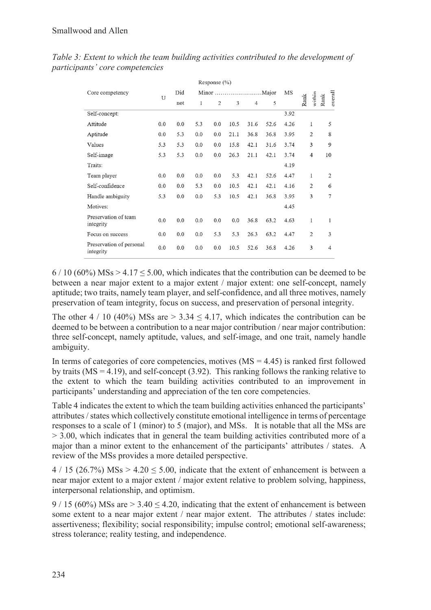| Response $(\% )$                      |     |     |     |     |      |                |      |      |                |                |                |
|---------------------------------------|-----|-----|-----|-----|------|----------------|------|------|----------------|----------------|----------------|
| Core competency                       | U   | Did |     |     |      |                |      | MS   |                |                |                |
|                                       |     | not | 1   | 2   | 3    | $\overline{4}$ | 5    |      | Rank           | within<br>Rank | overall        |
| Self-concept:                         |     |     |     |     |      |                |      | 3.92 |                |                |                |
| Attitude                              | 0.0 | 0.0 | 5.3 | 0.0 | 10.5 | 31.6           | 52.6 | 4.26 | 1              |                | 5              |
| Aptitude                              | 0.0 | 5.3 | 0.0 | 0.0 | 21.1 | 36.8           | 36.8 | 3.95 | $\overline{2}$ |                | 8              |
| Values                                | 5.3 | 5.3 | 0.0 | 0.0 | 15.8 | 42.1           | 31.6 | 3.74 | 3              |                | 9              |
| Self-image                            | 5.3 | 5.3 | 0.0 | 0.0 | 26.3 | 21.1           | 42.1 | 3.74 | 4              |                | 10             |
| Traits:                               |     |     |     |     |      |                |      | 4.19 |                |                |                |
| Team player                           | 0.0 | 0.0 | 0.0 | 0.0 | 5.3  | 42.1           | 52.6 | 4.47 |                | 1              | $\overline{2}$ |
| Self-confidence                       | 0.0 | 0.0 | 5.3 | 0.0 | 10.5 | 42.1           | 42.1 | 4.16 | $\overline{c}$ |                | 6              |
| Handle ambiguity                      | 5.3 | 0.0 | 0.0 | 5.3 | 10.5 | 42.1           | 36.8 | 3.95 |                | 3              | 7              |
| Motives:                              |     |     |     |     |      |                |      | 4.45 |                |                |                |
| Preservation of team<br>integrity     | 0.0 | 0.0 | 0.0 | 0.0 | 0.0  | 36.8           | 63.2 | 4.63 | 1              |                | 1              |
| Focus on success                      | 0.0 | 0.0 | 0.0 | 5.3 | 5.3  | 26.3           | 63.2 | 4.47 | $\overline{2}$ |                | 3              |
| Preservation of personal<br>integrity | 0.0 | 0.0 | 0.0 | 0.0 | 10.5 | 52.6           | 36.8 | 4.26 | 3              |                | 4              |

*Table 3: Extent to which the team building activities contributed to the development of participants' core competencies*

 $6/10$  (60%) MSs > 4.17  $\leq$  5.00, which indicates that the contribution can be deemed to be between a near major extent to a major extent / major extent: one self-concept, namely aptitude; two traits, namely team player, and self-confidence, and all three motives, namely preservation of team integrity, focus on success, and preservation of personal integrity.

The other  $4/10$  (40%) MSs are  $> 3.34 \le 4.17$ , which indicates the contribution can be deemed to be between a contribution to a near major contribution / near major contribution: three self-concept, namely aptitude, values, and self-image, and one trait, namely handle ambiguity.

In terms of categories of core competencies, motives  $(MS = 4.45)$  is ranked first followed by traits ( $MS = 4.19$ ), and self-concept (3.92). This ranking follows the ranking relative to the extent to which the team building activities contributed to an improvement in participants' understanding and appreciation of the ten core competencies.

Table 4 indicates the extent to which the team building activities enhanced the participants' attributes / states which collectively constitute emotional intelligence in terms of percentage responses to a scale of 1 (minor) to 5 (major), and MSs. It is notable that all the MSs are > 3.00, which indicates that in general the team building activities contributed more of a major than a minor extent to the enhancement of the participants' attributes / states. A review of the MSs provides a more detailed perspective.

 $4 / 15$  (26.7%) MSs  $> 4.20 \le 5.00$ , indicate that the extent of enhancement is between a near major extent to a major extent / major extent relative to problem solving, happiness, interpersonal relationship, and optimism.

 $9/15$  (60%) MSs are  $> 3.40 \le 4.20$ , indicating that the extent of enhancement is between some extent to a near major extent / near major extent. The attributes / states include: assertiveness; flexibility; social responsibility; impulse control; emotional self-awareness; stress tolerance; reality testing, and independence.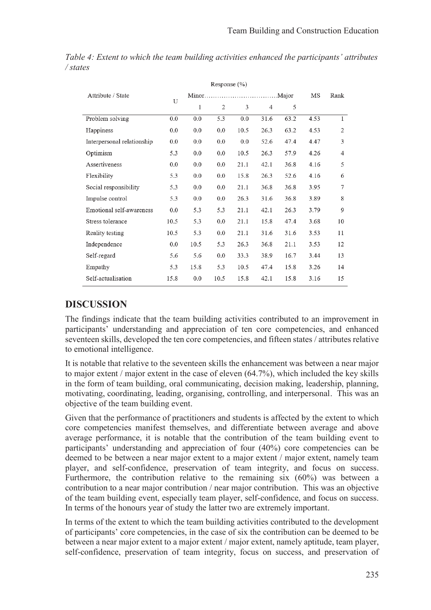| Attribute / State          |      |      |                |      |                |      | MS   | Rank |
|----------------------------|------|------|----------------|------|----------------|------|------|------|
|                            | U    | 1    | $\overline{2}$ | 3    | $\overline{4}$ | 5    |      |      |
| Problem solving            | 0.0  | 0.0  | 5.3            | 0.0  | 31.6           | 63.2 | 4.53 | 1    |
| Happiness                  | 0.0  | 0.0  | 0.0            | 10.5 | 26.3           | 63.2 | 4.53 | 2    |
| Interpersonal relationship | 0.0  | 0.0  | 0.0            | 0.0  | 52.6           | 47.4 | 4.47 | 3    |
| Optimism                   | 5.3  | 0.0  | 0.0            | 10.5 | 26.3           | 57.9 | 4.26 | 4    |
| Assertiveness              | 0.0  | 0.0  | 0.0            | 21.1 | 42.1           | 36.8 | 4.16 | 5    |
| Flexibility                | 5.3  | 0.0  | 0.0            | 15.8 | 26.3           | 52.6 | 4.16 | 6    |
| Social responsibility      | 5.3  | 0.0  | 0.0            | 21.1 | 36.8           | 36.8 | 3.95 | 7    |
| Impulse control            | 5.3  | 0.0  | 0.0            | 26.3 | 31.6           | 36.8 | 3.89 | 8    |
| Emotional self-awareness   | 0.0  | 5.3  | 5.3            | 21.1 | 42.1           | 26.3 | 3.79 | 9    |
| Stress tolerance           | 10.5 | 5.3  | 0.0            | 21.1 | 15.8           | 47.4 | 3.68 | 10   |
| Reality testing            | 10.5 | 5.3  | 0.0            | 21.1 | 31.6           | 31.6 | 3.53 | 11   |
| Independence               | 0.0  | 10.5 | 5.3            | 26.3 | 36.8           | 21.1 | 3.53 | 12   |
| Self-regard                | 5.6  | 5.6  | 0.0            | 33.3 | 38.9           | 16.7 | 3.44 | 13   |
| Empathy                    | 5.3  | 15.8 | 5.3            | 10.5 | 47.4           | 15.8 | 3.26 | 14   |
| Self-actualisation         | 15.8 | 0.0  | 10.5           | 15.8 | 42.1           | 15.8 | 3.16 | 15   |
|                            |      |      |                |      |                |      |      |      |

*Table 4: Extent to which the team building activities enhanced the participants' attributes / states* 

# **DISCUSSION**

The findings indicate that the team building activities contributed to an improvement in participants' understanding and appreciation of ten core competencies, and enhanced seventeen skills, developed the ten core competencies, and fifteen states / attributes relative to emotional intelligence.

It is notable that relative to the seventeen skills the enhancement was between a near major to major extent / major extent in the case of eleven (64.7%), which included the key skills in the form of team building, oral communicating, decision making, leadership, planning, motivating, coordinating, leading, organising, controlling, and interpersonal. This was an objective of the team building event.

Given that the performance of practitioners and students is affected by the extent to which core competencies manifest themselves, and differentiate between average and above average performance, it is notable that the contribution of the team building event to participants' understanding and appreciation of four (40%) core competencies can be deemed to be between a near major extent to a major extent / major extent, namely team player, and self-confidence, preservation of team integrity, and focus on success. Furthermore, the contribution relative to the remaining six (60%) was between a contribution to a near major contribution / near major contribution. This was an objective of the team building event, especially team player, self-confidence, and focus on success. In terms of the honours year of study the latter two are extremely important.

In terms of the extent to which the team building activities contributed to the development of participants' core competencies, in the case of six the contribution can be deemed to be between a near major extent to a major extent / major extent, namely aptitude, team player, self-confidence, preservation of team integrity, focus on success, and preservation of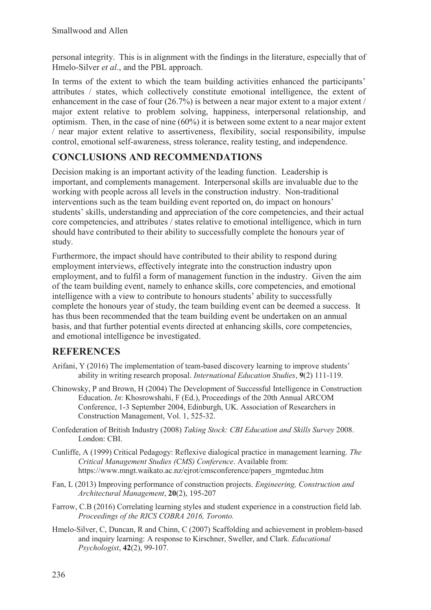personal integrity. This is in alignment with the findings in the literature, especially that of Hmelo-Silver *et al*., and the PBL approach.

In terms of the extent to which the team building activities enhanced the participants' attributes / states, which collectively constitute emotional intelligence, the extent of enhancement in the case of four  $(26.7%)$  is between a near major extent to a major extent / major extent relative to problem solving, happiness, interpersonal relationship, and optimism. Then, in the case of nine (60%) it is between some extent to a near major extent / near major extent relative to assertiveness, flexibility, social responsibility, impulse control, emotional self-awareness, stress tolerance, reality testing, and independence.

# **CONCLUSIONS AND RECOMMENDATIONS**

Decision making is an important activity of the leading function. Leadership is important, and complements management. Interpersonal skills are invaluable due to the working with people across all levels in the construction industry. Non-traditional interventions such as the team building event reported on, do impact on honours' students' skills, understanding and appreciation of the core competencies, and their actual core competencies, and attributes / states relative to emotional intelligence, which in turn should have contributed to their ability to successfully complete the honours year of study.

Furthermore, the impact should have contributed to their ability to respond during employment interviews, effectively integrate into the construction industry upon employment, and to fulfil a form of management function in the industry. Given the aim of the team building event, namely to enhance skills, core competencies, and emotional intelligence with a view to contribute to honours students' ability to successfully complete the honours year of study, the team building event can be deemed a success. It has thus been recommended that the team building event be undertaken on an annual basis, and that further potential events directed at enhancing skills, core competencies, and emotional intelligence be investigated.

### **REFERENCES**

- Arifani, Y (2016) The implementation of team-based discovery learning to improve students' ability in writing research proposal. *International Education Studies*, **9**(2) 111-119.
- Chinowsky, P and Brown, H (2004) The Development of Successful Intelligence in Construction Education. *In*: Khosrowshahi, F (Ed.), Proceedings of the 20th Annual ARCOM Conference, 1-3 September 2004, Edinburgh, UK. Association of Researchers in Construction Management, Vol. 1, 525-32.
- Confederation of British Industry (2008) *Taking Stock: CBI Education and Skills Survey* 2008. London: CBI.
- Cunliffe, A (1999) Critical Pedagogy: Reflexive dialogical practice in management learning. *The Critical Management Studies (CMS) Conference*. Available from: https://www.mngt.waikato.ac.nz/ejrot/cmsconference/papers\_mgmteduc.htm
- Fan, L (2013) Improving performance of construction projects. *Engineering, Construction and Architectural Management*, **20**(2), 195-207
- Farrow, C.B (2016) Correlating learning styles and student experience in a construction field lab. *Proceedings of the RICS COBRA 2016, Toronto.*
- Hmelo-Silver, C, Duncan, R and Chinn, C (2007) Scaffolding and achievement in problem-based and inquiry learning: A response to Kirschner, Sweller, and Clark. *Educational Psychologist*, **42**(2), 99-107.